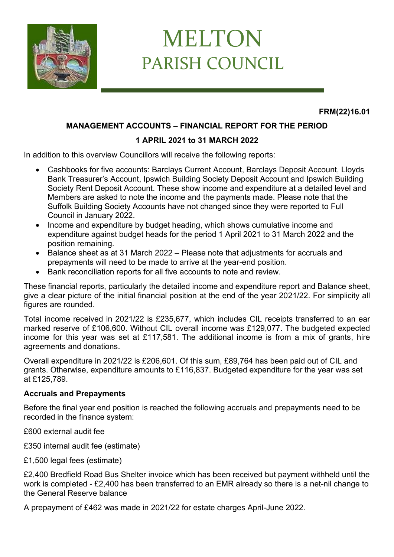

# MELTON PARISH COUNCIL

**FRM(22)16.01**

## **MANAGEMENT ACCOUNTS – FINANCIAL REPORT FOR THE PERIOD**

## **1 APRIL 2021 to 31 MARCH 2022**

In addition to this overview Councillors will receive the following reports:

- Cashbooks for five accounts: Barclays Current Account, Barclays Deposit Account, Lloyds Bank Treasurer's Account, Ipswich Building Society Deposit Account and Ipswich Building Society Rent Deposit Account. These show income and expenditure at a detailed level and Members are asked to note the income and the payments made. Please note that the Suffolk Building Society Accounts have not changed since they were reported to Full Council in January 2022.
- Income and expenditure by budget heading, which shows cumulative income and expenditure against budget heads for the period 1 April 2021 to 31 March 2022 and the position remaining.
- Balance sheet as at 31 March 2022 Please note that adjustments for accruals and prepayments will need to be made to arrive at the year-end position.
- Bank reconciliation reports for all five accounts to note and review.

These financial reports, particularly the detailed income and expenditure report and Balance sheet, give a clear picture of the initial financial position at the end of the year 2021/22. For simplicity all figures are rounded.

Total income received in 2021/22 is £235,677, which includes CIL receipts transferred to an ear marked reserve of £106,600. Without CIL overall income was £129,077. The budgeted expected income for this year was set at £117,581. The additional income is from a mix of grants, hire agreements and donations.

Overall expenditure in 2021/22 is £206,601. Of this sum, £89,764 has been paid out of CIL and grants. Otherwise, expenditure amounts to £116,837. Budgeted expenditure for the year was set at £125,789.

### **Accruals and Prepayments**

Before the final year end position is reached the following accruals and prepayments need to be recorded in the finance system:

£600 external audit fee

£350 internal audit fee (estimate)

£1,500 legal fees (estimate)

£2,400 Bredfield Road Bus Shelter invoice which has been received but payment withheld until the work is completed - £2,400 has been transferred to an EMR already so there is a net-nil change to the General Reserve balance

A prepayment of £462 was made in 2021/22 for estate charges April-June 2022.